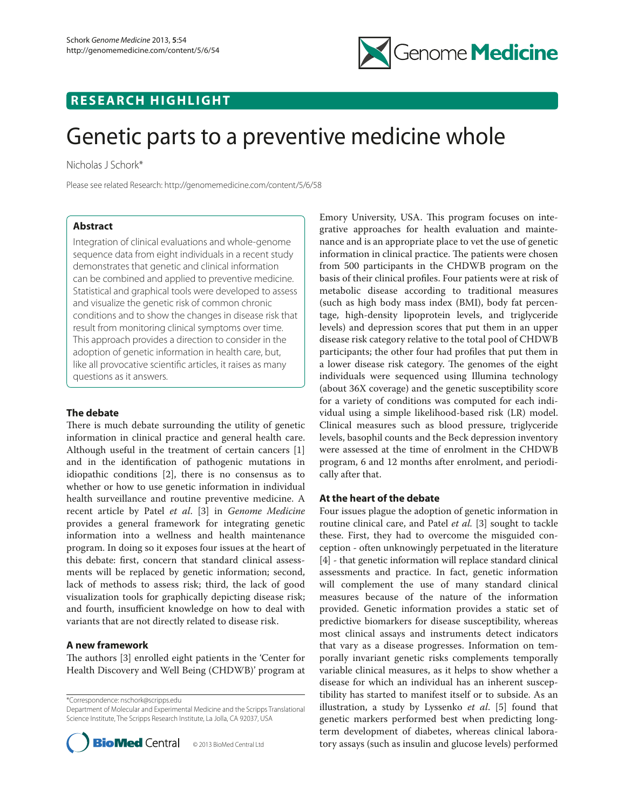

## **RESEARCH HIGHLIGHT**

# Genetic parts to a preventive medicine whole

Nicholas J Schork\*

Please see related Research: http://genomemedicine.com/content/5/6/58

## **Abstract**

Integration of clinical evaluations and whole-genome sequence data from eight individuals in a recent study demonstrates that genetic and clinical information can be combined and applied to preventive medicine. Statistical and graphical tools were developed to assess and visualize the genetic risk of common chronic conditions and to show the changes in disease risk that result from monitoring clinical symptoms over time. This approach provides a direction to consider in the adoption of genetic information in health care, but, like all provocative scientific articles, it raises as many questions as it answers.

## **The debate**

There is much debate surrounding the utility of genetic information in clinical practice and general health care. Although useful in the treatment of certain cancers [1] and in the identification of pathogenic mutations in idiopathic conditions [2], there is no consensus as to whether or how to use genetic information in individual health surveillance and routine preventive medicine. A recent article by Patel *et al*. [3] in *Genome Medicine* provides a general framework for integrating genetic information into a wellness and health maintenance program. In doing so it exposes four issues at the heart of this debate: first, concern that standard clinical assessments will be replaced by genetic information; second, lack of methods to assess risk; third, the lack of good visualization tools for graphically depicting disease risk; and fourth, insufficient knowledge on how to deal with variants that are not directly related to disease risk.

## **A new framework**

The authors [3] enrolled eight patients in the 'Center for Health Discovery and Well Being (CHDWB)' program at

\*Correspondence: nschork@scripps.edu

Department of Molecular and Experimental Medicine and the Scripps Translational Science Institute, The Scripps Research Institute, La Jolla, CA 92037, USA



Emory University, USA. This program focuses on integrative approaches for health evaluation and maintenance and is an appropriate place to vet the use of genetic information in clinical practice. The patients were chosen from 500 participants in the CHDWB program on the basis of their clinical profiles. Four patients were at risk of metabolic disease according to traditional measures (such as high body mass index (BMI), body fat percentage, high-density lipoprotein levels, and triglyceride levels) and depression scores that put them in an upper disease risk category relative to the total pool of CHDWB participants; the other four had profiles that put them in a lower disease risk category. The genomes of the eight individuals were sequenced using Illumina technology (about 36X coverage) and the genetic susceptibility score for a variety of conditions was computed for each individual using a simple likelihood-based risk (LR) model. Clinical measures such as blood pressure, triglyceride levels, basophil counts and the Beck depression inventory were assessed at the time of enrolment in the CHDWB program, 6 and 12 months after enrolment, and periodically after that.

## **At the heart of the debate**

Four issues plague the adoption of genetic information in routine clinical care, and Patel *et al.* [3] sought to tackle these. First, they had to overcome the misguided conception - often unknowingly perpetuated in the literature [4] - that genetic information will replace standard clinical assessments and practice. In fact, genetic information will complement the use of many standard clinical measures because of the nature of the information provided. Genetic information provides a static set of predictive biomarkers for disease susceptibility, whereas most clinical assays and instruments detect indicators that vary as a disease progresses. Information on temporally invariant genetic risks complements temporally variable clinical measures, as it helps to show whether a disease for which an individual has an inherent susceptibility has started to manifest itself or to subside. As an illustration, a study by Lyssenko *et al*. [5] found that genetic markers performed best when predicting longterm development of diabetes, whereas clinical laboratory assays (such as insulin and glucose levels) performed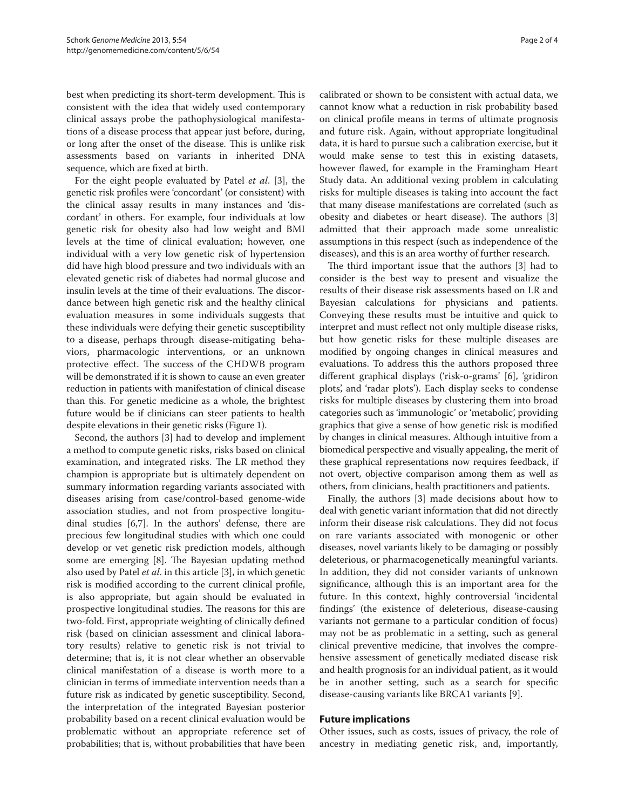best when predicting its short-term development. This is consistent with the idea that widely used contemporary clinical assays probe the pathophysiological manifestations of a disease process that appear just before, during, or long after the onset of the disease. This is unlike risk assessments based on variants in inherited DNA sequence, which are fixed at birth.

For the eight people evaluated by Patel *et al*. [3], the genetic risk profiles were 'concordant' (or consistent) with the clinical assay results in many instances and 'discordant' in others. For example, four individuals at low genetic risk for obesity also had low weight and BMI levels at the time of clinical evaluation; however, one individual with a very low genetic risk of hypertension did have high blood pressure and two individuals with an elevated genetic risk of diabetes had normal glucose and insulin levels at the time of their evaluations. The discordance between high genetic risk and the healthy clinical evaluation measures in some individuals suggests that these individuals were defying their genetic susceptibility to a disease, perhaps through disease-mitigating behaviors, pharmacologic interventions, or an unknown protective effect. The success of the CHDWB program will be demonstrated if it is shown to cause an even greater reduction in patients with manifestation of clinical disease than this. For genetic medicine as a whole, the brightest future would be if clinicians can steer patients to health despite elevations in their genetic risks (Figure 1).

Second, the authors [3] had to develop and implement a method to compute genetic risks, risks based on clinical examination, and integrated risks. The LR method they champion is appropriate but is ultimately dependent on summary information regarding variants associated with diseases arising from case/control-based genome-wide association studies, and not from prospective longitudinal studies [6,7]. In the authors' defense, there are precious few longitudinal studies with which one could develop or vet genetic risk prediction models, although some are emerging [8]. The Bayesian updating method also used by Patel *et al*. in this article [3], in which genetic risk is modified according to the current clinical profile, is also appropriate, but again should be evaluated in prospective longitudinal studies. The reasons for this are two-fold. First, appropriate weighting of clinically defined risk (based on clinician assessment and clinical laboratory results) relative to genetic risk is not trivial to determine; that is, it is not clear whether an observable clinical manifestation of a disease is worth more to a clinician in terms of immediate intervention needs than a future risk as indicated by genetic susceptibility. Second, the interpretation of the integrated Bayesian posterior probability based on a recent clinical evaluation would be problematic without an appropriate reference set of probabilities; that is, without probabilities that have been

calibrated or shown to be consistent with actual data, we cannot know what a reduction in risk probability based on clinical profile means in terms of ultimate prognosis and future risk. Again, without appropriate longitudinal data, it is hard to pursue such a calibration exercise, but it would make sense to test this in existing datasets, however flawed, for example in the Framingham Heart Study data. An additional vexing problem in calculating risks for multiple diseases is taking into account the fact that many disease manifestations are correlated (such as obesity and diabetes or heart disease). The authors [3] admitted that their approach made some unrealistic assumptions in this respect (such as independence of the diseases), and this is an area worthy of further research.

The third important issue that the authors [3] had to consider is the best way to present and visualize the results of their disease risk assessments based on LR and Bayesian calculations for physicians and patients. Conveying these results must be intuitive and quick to interpret and must reflect not only multiple disease risks, but how genetic risks for these multiple diseases are modified by ongoing changes in clinical measures and evaluations. To address this the authors proposed three different graphical displays ('risk-o-grams' [6], 'gridiron plots', and 'radar plots'). Each display seeks to condense risks for multiple diseases by clustering them into broad categories such as 'immunologic' or 'metabolic', providing graphics that give a sense of how genetic risk is modified by changes in clinical measures. Although intuitive from a biomedical perspective and visually appealing, the merit of these graphical representations now requires feedback, if not overt, objective comparison among them as well as others, from clinicians, health practitioners and patients.

Finally, the authors [3] made decisions about how to deal with genetic variant information that did not directly inform their disease risk calculations. They did not focus on rare variants associated with monogenic or other diseases, novel variants likely to be damaging or possibly deleterious, or pharmacogenetically meaningful variants. In addition, they did not consider variants of unknown significance, although this is an important area for the future. In this context, highly controversial 'incidental findings' (the existence of deleterious, disease-causing variants not germane to a particular condition of focus) may not be as problematic in a setting, such as general clinical preventive medicine, that involves the comprehensive assessment of genetically mediated disease risk and health prognosis for an individual patient, as it would be in another setting, such as a search for specific disease-causing variants like BRCA1 variants [9].

#### **Future implications**

Other issues, such as costs, issues of privacy, the role of ancestry in mediating genetic risk, and, importantly,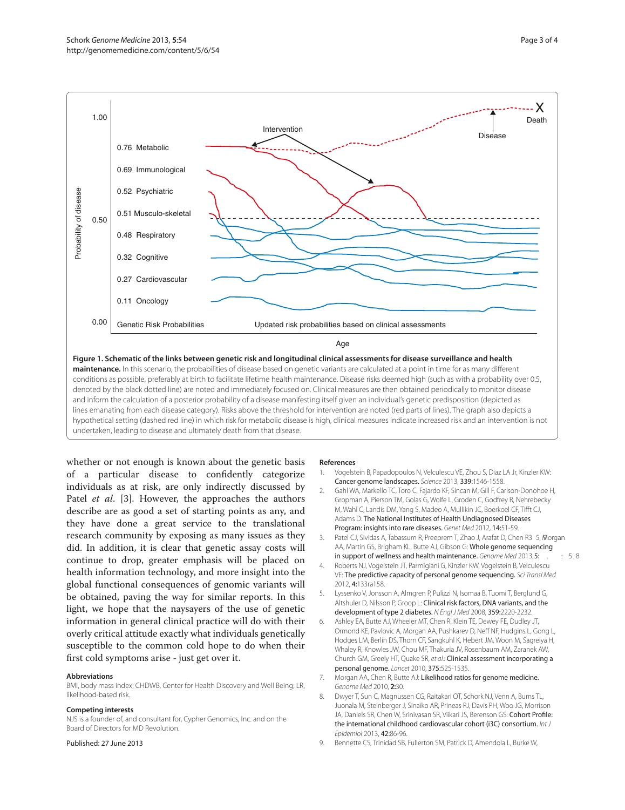

whether or not enough is known about the genetic basis of a particular disease to confidently categorize individuals as at risk, are only indirectly discussed by Patel *et al*. [3]. However, the approaches the authors describe are as good a set of starting points as any, and they have done a great service to the translational research community by exposing as many issues as they did. In addition, it is clear that genetic assay costs will continue to drop, greater emphasis will be placed on health information technology, and more insight into the global functional consequences of genomic variants will be obtained, paving the way for similar reports. In this light, we hope that the naysayers of the use of genetic information in general clinical practice will do with their overly critical attitude exactly what individuals genetically susceptible to the common cold hope to do when their first cold symptoms arise - just get over it.

#### **Abbreviations**

BMI, body mass index; CHDWB, Center for Health Discovery and Well Being; LR, likelihood-based risk.

#### **Competing interests**

NJS is a founder of, and consultant for, Cypher Genomics, Inc. and on the Board of Directors for MD Revolution.

Published: 27 June 2013

#### **References**

- 1. Vogelstein B, Papadopoulos N, Velculescu VE, Zhou S, Diaz LA Jr, Kinzler KW: Cancer genome landscapes. Science 2013, 339:1546-1558.
- 2. Gahl WA, Markello TC, Toro C, Fajardo KF, Sincan M, Gill F, Carlson-Donohoe H, Gropman A, Pierson TM, Golas G, Wolfe L, Groden C, Godfrey R, Nehrebecky M, Wahl C, Landis DM, Yang S, Madeo A, Mullikin JC, Boerkoel CF, Tifft CJ, Adams D: The National Institutes of Health Undiagnosed Diseases Program: insights into rare diseases. Genet Med 2012, 14:51-59.
- 5: Patel CJ, Sividas A, Tabassum R, Preeprem T, Zhao J, Arafat D, Chen R3 5, Morgan AA, Martin GS, Brigham KL, Butte AJ, Gibson G: Whole genome sequencing in support of wellness and health maintenance. Genome Med 2013,5:
- 4. Roberts NJ, Vogelstein JT, Parmigiani G, Kinzler KW, Vogelstein B, Velculescu VE: The predictive capacity of personal genome sequencing. Sci Transl Med 2012, 4:133ra158.
- 5. Lyssenko V, Jonsson A, Almgren P, Pulizzi N, Isomaa B, Tuomi T, Berglund G, Altshuler D, Nilsson P, Groop L: Clinical risk factors, DNA variants, and the development of type 2 diabetes. N Engl J Med 2008, 359:2220-2232.
- 6. Ashley EA, Butte AJ, Wheeler MT, Chen R, Klein TE, Dewey FE, Dudley JT, Ormond KE, Pavlovic A, Morgan AA, Pushkarev D, Neff NF, Hudgins L, Gong L, Hodges LM, Berlin DS, Thorn CF, Sangkuhl K, Hebert JM, Woon M, Sagreiya H, Whaley R, Knowles JW, Chou MF, Thakuria JV, Rosenbaum AM, Zaranek AW, Church GM, Greely HT, Quake SR, et al.: Clinical assessment incorporating a personal genome. Lancet 2010, 375:525-1535.
- 7. Morgan AA, Chen R, Butte AJ: Likelihood ratios for genome medicine. Genome Med 2010, 2:30.
- 8. Dwyer T, Sun C, Magnussen CG, Raitakari OT, Schork NJ, Venn A, Burns TL, Juonala M, Steinberger J, Sinaiko AR, Prineas RJ, Davis PH, Woo JG, Morrison JA, Daniels SR, Chen W, Srinivasan SR, Viikari JS, Berenson GS: Cohort Profile: the international childhood cardiovascular cohort (i3C) consortium. Int J Epidemiol 2013, 42:86-96.
- 9. Bennette CS, Trinidad SB, Fullerton SM, Patrick D, Amendola L, Burke W,